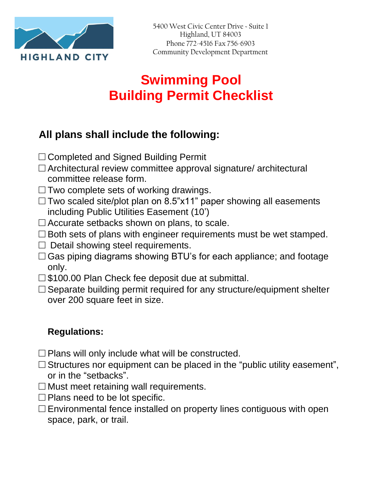

## **Swimming Pool Building Permit Checklist**

## **All plans shall include the following:**

- □ Completed and Signed Building Permit
- $\square$  Architectural review committee approval signature/ architectural committee release form.
- $\Box$  Two complete sets of working drawings.
- $\Box$  Two scaled site/plot plan on 8.5"x11" paper showing all easements including Public Utilities Easement (10')
- $\square$  Accurate setbacks shown on plans, to scale.
- $\square$  Both sets of plans with engineer requirements must be wet stamped.
- $\square$  Detail showing steel requirements.
- $\Box$  Gas piping diagrams showing BTU's for each appliance; and footage only.
- □ \$100.00 Plan Check fee deposit due at submittal.
- $\square$  Separate building permit required for any structure/equipment shelter over 200 square feet in size.

## **Regulations:**

- $\square$  Plans will only include what will be constructed.
- $\square$  Structures nor equipment can be placed in the "public utility easement", or in the "setbacks".
- $\square$  Must meet retaining wall requirements.
- $\Box$  Plans need to be lot specific.
- $\square$  Environmental fence installed on property lines contiguous with open space, park, or trail.